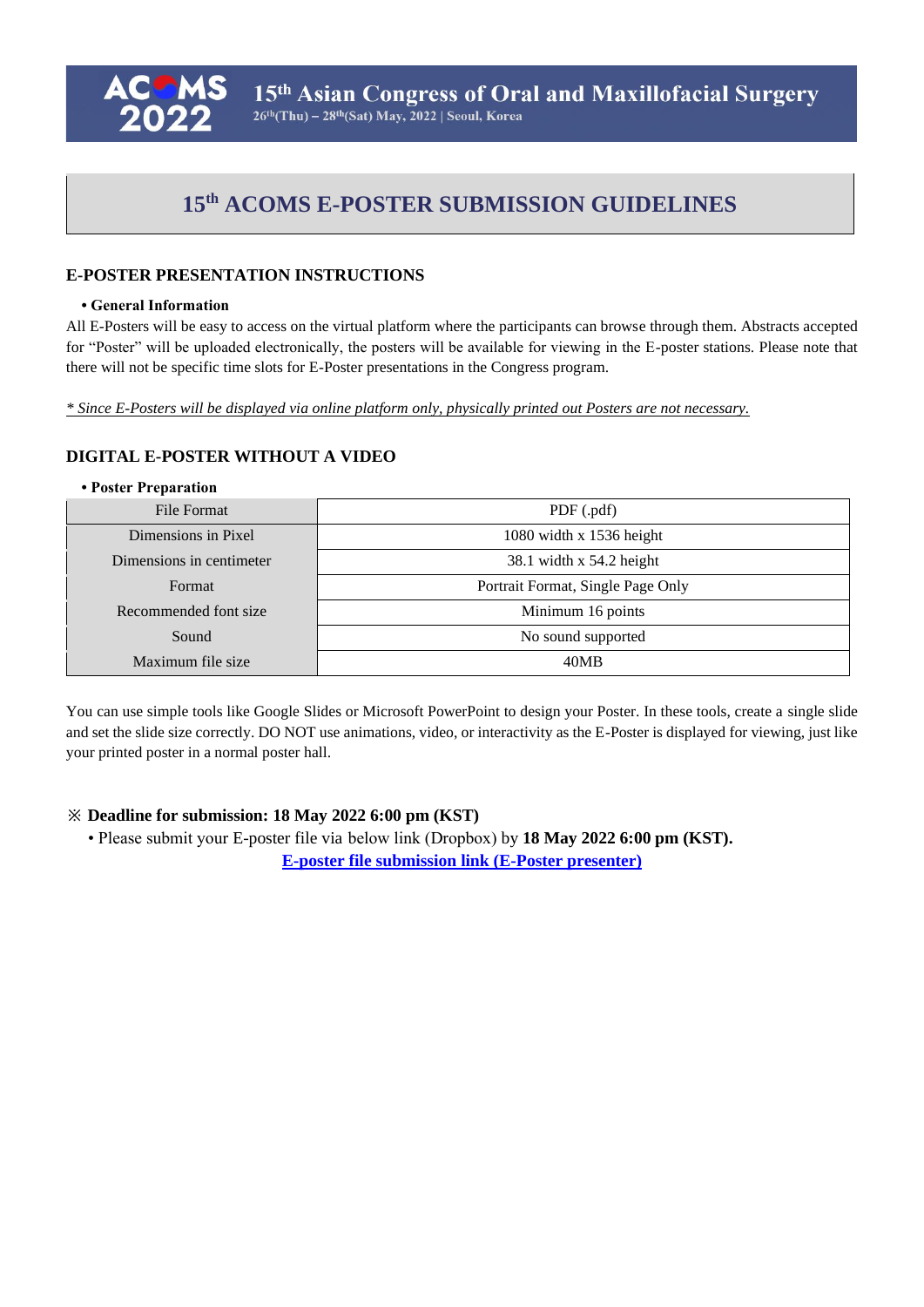

# **15th ACOMS E-POSTER SUBMISSION GUIDELINES**

## **E-POSTER PRESENTATION INSTRUCTIONS**

#### **• General Information**

All E-Posters will be easy to access on the virtual platform where the participants can browse through them. Abstracts accepted for "Poster" will be uploaded electronically, the posters will be available for viewing in the E-poster stations. Please note that there will not be specific time slots for E-Poster presentations in the Congress program.

*\* Since E-Posters will be displayed via online platform only, physically printed out Posters are not necessary.*

## **DIGITAL E-POSTER WITHOUT A VIDEO**

#### **• Poster Preparation**

| File Format              | PDF(.pdf)                         |
|--------------------------|-----------------------------------|
| Dimensions in Pixel      | 1080 width $x$ 1536 height        |
| Dimensions in centimeter | $38.1$ width x $54.2$ height      |
| Format                   | Portrait Format, Single Page Only |
| Recommended font size    | Minimum 16 points                 |
| Sound                    | No sound supported                |
| Maximum file size        | 40MB                              |

You can use simple tools like Google Slides or Microsoft PowerPoint to design your Poster. In these tools, create a single slide and set the slide size correctly. DO NOT use animations, video, or interactivity as the E-Poster is displayed for viewing, just like your printed poster in a normal poster hall.

#### **※ Deadline for submission: 18 May 2022 6:00 pm (KST)**

• Please submit your E-poster file via below link (Dropbox) by **18 May 2022 6:00 pm (KST). [E-poster file submission link \(E-Poster](https://www.dropbox.com/request/ltUtbEOyMQtvG8nEaPwP) presenter)**